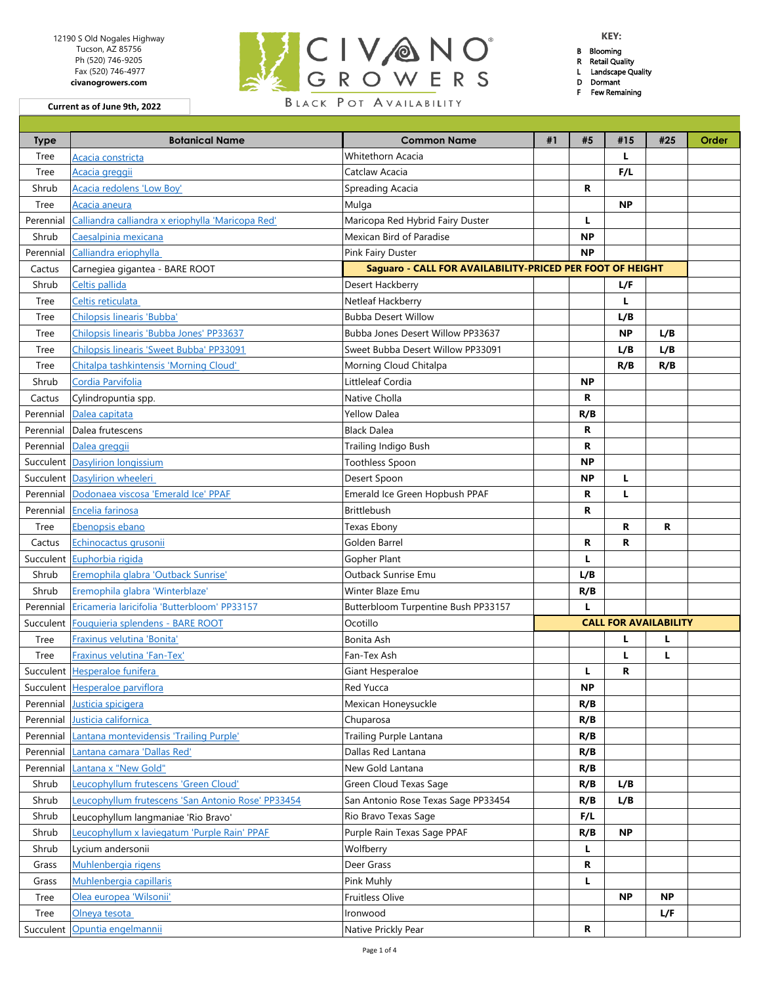| 12190 S Old Nogales Highway             |                        | <b>KEY:</b>           |
|-----------------------------------------|------------------------|-----------------------|
| Tucson, AZ 85756<br>Ph (520) 746-9205   | BLCIVANO               | Blooming<br>Retail Qu |
| Fax (520) 746-4977<br>civanogrowers.com | <b>IGROWERS</b>        | Landscap<br>Dormant   |
| urrent as of June 9th, 2022             | BLACK POT AVAILABILITY | Few Rem               |

- B Blooming
- R Retail Quality L Landscape Quality
- D Dormant

F Few Remaining

**Current as of June 9th, 2022**

| <b>Type</b> | <b>Botanical Name</b>                              | <b>Common Name</b>                                        | #1 | #5        | #15                          | #25       | Order |
|-------------|----------------------------------------------------|-----------------------------------------------------------|----|-----------|------------------------------|-----------|-------|
| Tree        | Acacia constricta                                  | Whitethorn Acacia                                         |    |           | L.                           |           |       |
| Tree        | Acacia greggii                                     | Catclaw Acacia                                            |    |           | F/L                          |           |       |
| Shrub       | Acacia redolens 'Low Boy'                          | Spreading Acacia                                          |    | R         |                              |           |       |
| Tree        | Acacia aneura                                      | Mulga                                                     |    |           | <b>NP</b>                    |           |       |
| Perennial   | Calliandra calliandra x eriophylla 'Maricopa Red'  | Maricopa Red Hybrid Fairy Duster                          |    | L         |                              |           |       |
| Shrub       | Caesalpinia mexicana                               | Mexican Bird of Paradise                                  |    | <b>NP</b> |                              |           |       |
| Perennial   | Calliandra eriophylla                              | Pink Fairy Duster                                         |    | <b>NP</b> |                              |           |       |
| Cactus      | Carnegiea gigantea - BARE ROOT                     | Saguaro - CALL FOR AVAILABILITY-PRICED PER FOOT OF HEIGHT |    |           |                              |           |       |
| Shrub       | Celtis pallida                                     | Desert Hackberry                                          |    |           | L/F                          |           |       |
| Tree        | Celtis reticulata                                  | Netleaf Hackberry                                         |    |           | L.                           |           |       |
| Tree        | Chilopsis linearis 'Bubba'                         | <b>Bubba Desert Willow</b>                                |    |           | L/B                          |           |       |
| Tree        | Chilopsis linearis 'Bubba Jones' PP33637           | Bubba Jones Desert Willow PP33637                         |    |           | <b>NP</b>                    | L/B       |       |
| Tree        | Chilopsis linearis 'Sweet Bubba' PP33091           | Sweet Bubba Desert Willow PP33091                         |    |           | L/B                          | L/B       |       |
| Tree        | Chitalpa tashkintensis 'Morning Cloud'             | Morning Cloud Chitalpa                                    |    |           | R/B                          | R/B       |       |
| Shrub       | Cordia Parvifolia                                  | Littleleaf Cordia                                         |    | <b>NP</b> |                              |           |       |
| Cactus      | Cylindropuntia spp.                                | Native Cholla                                             |    | R         |                              |           |       |
| Perennial   | Dalea capitata                                     | Yellow Dalea                                              |    | R/B       |                              |           |       |
| Perennial   | Dalea frutescens                                   | <b>Black Dalea</b>                                        |    | R         |                              |           |       |
| Perennial   | Dalea greggii                                      | Trailing Indigo Bush                                      |    | R         |                              |           |       |
|             | Succulent Dasylirion Iongissium                    | <b>Toothless Spoon</b>                                    |    | <b>NP</b> |                              |           |       |
|             | Succulent Dasylirion wheeleri                      | Desert Spoon                                              |    | <b>NP</b> | L                            |           |       |
| Perennial   | Dodonaea viscosa 'Emerald Ice' PPAF                | Emerald Ice Green Hopbush PPAF                            |    | R         | L                            |           |       |
| Perennial   | Encelia farinosa                                   | <b>Brittlebush</b>                                        |    | R         |                              |           |       |
| Tree        | Ebenopsis ebano                                    | Texas Ebony                                               |    |           | R                            | R         |       |
| Cactus      | Echinocactus grusonii                              | Golden Barrel                                             |    | R         | R                            |           |       |
| Succulent   | Euphorbia rigida                                   | Gopher Plant                                              |    | L         |                              |           |       |
| Shrub       | Eremophila glabra 'Outback Sunrise'                | Outback Sunrise Emu                                       |    | L/B       |                              |           |       |
| Shrub       | Eremophila glabra 'Winterblaze'                    | Winter Blaze Emu                                          |    | R/B       |                              |           |       |
| Perennial   | Ericameria laricifolia 'Butterbloom' PP33157       | Butterbloom Turpentine Bush PP33157                       |    | L         |                              |           |       |
| Succulent   | Fouquieria splendens - BARE ROOT                   | Ocotillo                                                  |    |           | <b>CALL FOR AVAILABILITY</b> |           |       |
| Tree        | Fraxinus velutina 'Bonita'                         | Bonita Ash                                                |    |           | г                            | L         |       |
| Tree        | Fraxinus velutina 'Fan-Tex'                        | Fan-Tex Ash                                               |    |           | L                            | L         |       |
|             | Succulent Hesperaloe funifera                      | Giant Hesperaloe                                          |    | L         | R                            |           |       |
|             | Succulent Hesperaloe parviflora                    | Red Yucca                                                 |    | <b>NP</b> |                              |           |       |
| Perennial   | Justicia spicigera                                 | Mexican Honeysuckle                                       |    | R/B       |                              |           |       |
| Perennial   | Justicia californica                               | Chuparosa                                                 |    | R/B       |                              |           |       |
| Perennial   | Lantana montevidensis 'Trailing Purple'            | Trailing Purple Lantana                                   |    | R/B       |                              |           |       |
| Perennial   | Lantana camara 'Dallas Red'                        | Dallas Red Lantana                                        |    | R/B       |                              |           |       |
| Perennial   | Lantana x "New Gold"                               | New Gold Lantana                                          |    | R/B       |                              |           |       |
| Shrub       | Leucophyllum frutescens 'Green Cloud'              | Green Cloud Texas Sage                                    |    | R/B       | L/B                          |           |       |
| Shrub       | Leucophyllum frutescens 'San Antonio Rose' PP33454 | San Antonio Rose Texas Sage PP33454                       |    | R/B       | L/B                          |           |       |
| Shrub       | Leucophyllum langmaniae 'Rio Bravo'                | Rio Bravo Texas Sage                                      |    | F/L       |                              |           |       |
| Shrub       | Leucophyllum x laviegatum 'Purple Rain' PPAF       | Purple Rain Texas Sage PPAF                               |    | R/B       | <b>NP</b>                    |           |       |
| Shrub       | Lycium andersonii                                  | Wolfberry                                                 |    | L.        |                              |           |       |
| Grass       | Muhlenbergia rigens                                | Deer Grass                                                |    | R         |                              |           |       |
| Grass       | Muhlenbergia capillaris                            | Pink Muhly                                                |    | L.        |                              |           |       |
| Tree        | Olea europea 'Wilsonii'                            | Fruitless Olive                                           |    |           | <b>NP</b>                    | <b>NP</b> |       |
| Tree        | Olneya tesota                                      | Ironwood                                                  |    |           |                              | L/F       |       |
| Succulent   | Opuntia engelmannii                                | Native Prickly Pear                                       |    | R         |                              |           |       |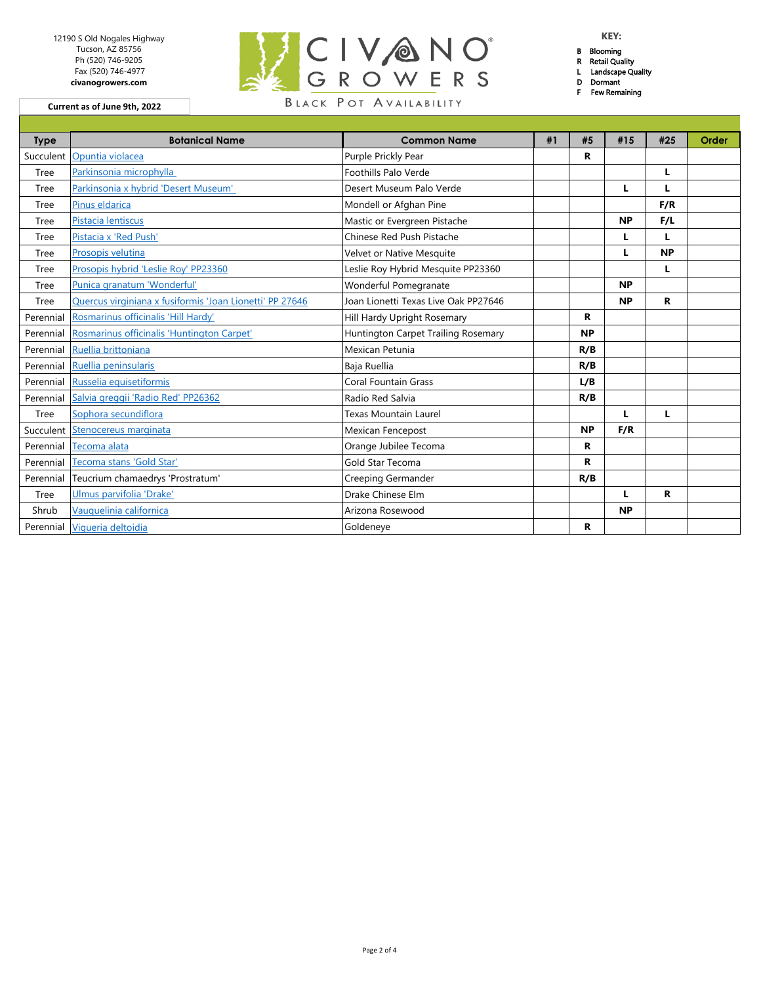| 12190 S Old Nogales Highway             |                        | <b>KEY:</b>                           |
|-----------------------------------------|------------------------|---------------------------------------|
| Tucson, AZ 85756<br>Ph (520) 746-9205   | KICIVANO               | Blooming<br>Retail Qu                 |
| Fax (520) 746-4977<br>civanogrowers.com | IGROWERS               | Landscap<br>Dormant<br><b>Few Rem</b> |
| urrent as of June 9th, 2022             | BLACK POT AVAILABILITY |                                       |

- B Blooming
- R Retail Quality L Landscape Quality
- D Dormant

F Few Remaining

**Current as of June 9th, 2022**

| <b>Botanical Name</b>                                    | <b>Common Name</b>                   | #1 | #5        | #15       | #25       | Order |
|----------------------------------------------------------|--------------------------------------|----|-----------|-----------|-----------|-------|
| Succulent Opuntia violacea                               | Purple Prickly Pear                  |    | R         |           |           |       |
| Parkinsonia microphylla                                  | Foothills Palo Verde                 |    |           |           | L         |       |
| Parkinsonia x hybrid 'Desert Museum'                     | Desert Museum Palo Verde             |    |           | L         | L         |       |
| Pinus eldarica                                           | Mondell or Afghan Pine               |    |           |           | F/R       |       |
| Pistacia lentiscus                                       | Mastic or Evergreen Pistache         |    |           | <b>NP</b> | F/L       |       |
| Pistacia x 'Red Push'                                    | Chinese Red Push Pistache            |    |           | L         | L         |       |
| Prosopis velutina                                        | Velvet or Native Mesquite            |    |           |           | <b>NP</b> |       |
| Prosopis hybrid 'Leslie Roy' PP23360                     | Leslie Roy Hybrid Mesquite PP23360   |    |           |           | L         |       |
| Punica granatum 'Wonderful'                              | Wonderful Pomegranate                |    |           | <b>NP</b> |           |       |
| Quercus virginiana x fusiformis 'Joan Lionetti' PP 27646 | Joan Lionetti Texas Live Oak PP27646 |    |           | <b>NP</b> | R         |       |
| Rosmarinus officinalis 'Hill Hardy'                      | Hill Hardy Upright Rosemary          |    | R         |           |           |       |
| Rosmarinus officinalis 'Huntington Carpet'               | Huntington Carpet Trailing Rosemary  |    | <b>NP</b> |           |           |       |
| Ruellia brittoniana                                      | Mexican Petunia                      |    | R/B       |           |           |       |
| Ruellia peninsularis                                     | Baja Ruellia                         |    | R/B       |           |           |       |
| Russelia equisetiformis                                  | Coral Fountain Grass                 |    | L/B       |           |           |       |
| Salvia greggii 'Radio Red' PP26362                       | Radio Red Salvia                     |    | R/B       |           |           |       |
| Sophora secundiflora                                     | Texas Mountain Laurel                |    |           | п         | L         |       |
| Succulent Stenocereus marginata                          | <b>Mexican Fencepost</b>             |    | <b>NP</b> | F/R       |           |       |
| Tecoma alata                                             | Orange Jubilee Tecoma                |    | R         |           |           |       |
| Tecoma stans 'Gold Star'                                 | Gold Star Tecoma                     |    | R         |           |           |       |
| Teucrium chamaedrys 'Prostratum'                         | Creeping Germander                   |    | R/B       |           |           |       |
| Ulmus parvifolia 'Drake'                                 | Drake Chinese Elm                    |    |           | L         | R         |       |
| Vauquelinia californica                                  | Arizona Rosewood                     |    |           | <b>NP</b> |           |       |
| Vigueria deltoidia                                       | Goldeneye                            |    | R         |           |           |       |
|                                                          |                                      |    |           |           |           |       |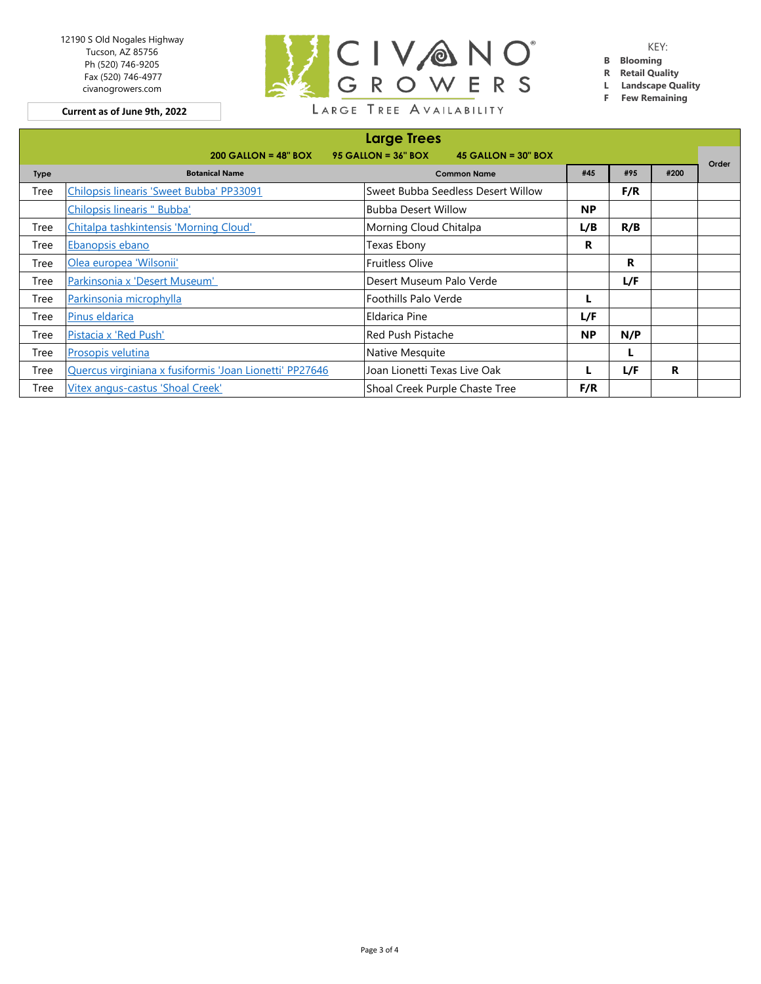12190 S Old Nogales Highway Tucson, AZ 85756 Ph (520) 746-9205 Fax (520) 746-4977 civanogrowers.com

**Current as of June 9th, 2022**



KEY:

- **B Blooming**
- **R Retail Quality**
- **L Landscape Quality**
- **F Few Remaining**

| <b>Large Trees</b> |                                                           |                                                     |           |     |      |       |
|--------------------|-----------------------------------------------------------|-----------------------------------------------------|-----------|-----|------|-------|
|                    | $200$ GALLON = 48" BOX                                    | $95$ GALLON = $36"$ BOX<br>$45$ GALLON = $30$ " BOX |           |     |      |       |
| <b>Type</b>        | <b>Botanical Name</b>                                     | <b>Common Name</b>                                  | #45       | #95 | #200 | Order |
| Tree               | Chilopsis linearis 'Sweet Bubba' PP33091                  | Sweet Bubba Seedless Desert Willow                  |           | F/R |      |       |
|                    | Chilopsis linearis " Bubba'                               | <b>Bubba Desert Willow</b>                          | <b>NP</b> |     |      |       |
| Tree               | Chitalpa tashkintensis 'Morning Cloud'                    | Morning Cloud Chitalpa                              | L/B       | R/B |      |       |
| Tree               | Ebanopsis ebano                                           | Texas Ebony                                         | R         |     |      |       |
| Tree               | <b>Fruitless Olive</b><br>Olea europea 'Wilsonii'         |                                                     |           | R   |      |       |
| Tree               | Parkinsonia x 'Desert Museum'<br>Desert Museum Palo Verde |                                                     |           | L/F |      |       |
| Tree               | Parkinsonia microphylla<br>Foothills Palo Verde           |                                                     |           |     |      |       |
| Tree               | Pinus eldarica                                            | Eldarica Pine                                       | L/F       |     |      |       |
| Tree               | Pistacia x 'Red Push'                                     | <b>Red Push Pistache</b>                            | <b>NP</b> | N/P |      |       |
| Tree               | <b>Prosopis velutina</b>                                  | Native Mesquite                                     |           | L   |      |       |
| Tree               | Quercus virginiana x fusiformis 'Joan Lionetti' PP27646   | Joan Lionetti Texas Live Oak                        |           | L/F | R    |       |
| Tree               | Vitex angus-castus 'Shoal Creek'                          | Shoal Creek Purple Chaste Tree                      | F/R       |     |      |       |